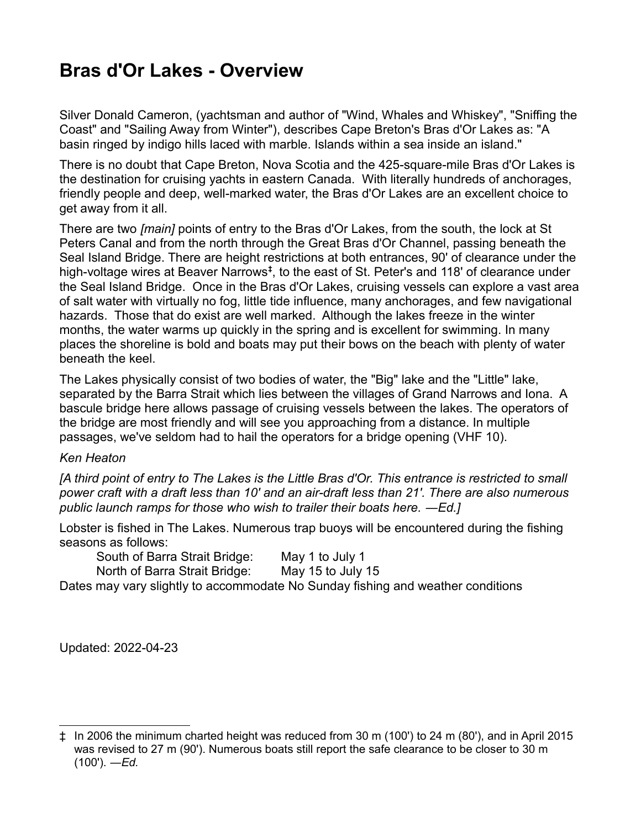## **Bras d'Or Lakes - Overview**

Silver Donald Cameron, (yachtsman and author of "Wind, Whales and Whiskey", "Sniffing the Coast" and "Sailing Away from Winter"), describes Cape Breton's Bras d'Or Lakes as: "A basin ringed by indigo hills laced with marble. Islands within a sea inside an island."

There is no doubt that Cape Breton, Nova Scotia and the 425-square-mile Bras d'Or Lakes is the destination for cruising yachts in eastern Canada. With literally hundreds of anchorages, friendly people and deep, well-marked water, the Bras d'Or Lakes are an excellent choice to get away from it all.

There are two *[main]* points of entry to the Bras d'Or Lakes, from the south, the lock at St Peters Canal and from the north through the Great Bras d'Or Channel, passing beneath the Seal Island Bridge. There are height restrictions at both entrances, 90' of clearance under the high-voltage wires at Beaver Narrows**[‡](#page-0-0)** , to the east of St. Peter's and 118' of clearance under the Seal Island Bridge. Once in the Bras d'Or Lakes, cruising vessels can explore a vast area of salt water with virtually no fog, little tide influence, many anchorages, and few navigational hazards. Those that do exist are well marked. Although the lakes freeze in the winter months, the water warms up quickly in the spring and is excellent for swimming. In many places the shoreline is bold and boats may put their bows on the beach with plenty of water beneath the keel.

The Lakes physically consist of two bodies of water, the "Big" lake and the "Little" lake, separated by the Barra Strait which lies between the villages of Grand Narrows and Iona. A bascule bridge here allows passage of cruising vessels between the lakes. The operators of the bridge are most friendly and will see you approaching from a distance. In multiple passages, we've seldom had to hail the operators for a bridge opening (VHF 10).

## *Ken Heaton*

*[A third point of entry to The Lakes is the Little Bras d'Or. This entrance is restricted to small power craft with a draft less than 10' and an air-draft less than 21'. There are also numerous public launch ramps for those who wish to trailer their boats here. ―Ed.]*

Lobster is fished in The Lakes. Numerous trap buoys will be encountered during the fishing seasons as follows:

South of Barra Strait Bridge: May 1 to July 1 North of Barra Strait Bridge: May 15 to July 15

Dates may vary slightly to accommodate No Sunday fishing and weather conditions

Updated: 2022-04-23

<span id="page-0-0"></span><sup>‡</sup> In 2006 the minimum charted height was reduced from 30 m (100') to 24 m (80'), and in April 2015 was revised to 27 m (90'). Numerous boats still report the safe clearance to be closer to 30 m (100'). *―Ed.*